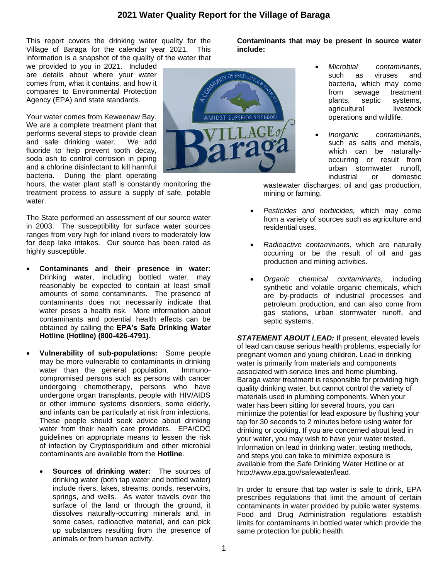This report covers the drinking water quality for the Village of Baraga for the calendar year 2021. This information is a snapshot of the quality of the water that

we provided to you in 2021. Included are details about where your water comes from, what it contains, and how it compares to Environmental Protection Agency (EPA) and state standards.

Your water comes from Keweenaw Bay. We are a complete treatment plant that performs several steps to provide clean and safe drinking water. We add fluoride to help prevent tooth decay, soda ash to control corrosion in piping and a chlorine disinfectant to kill harmful bacteria. During the plant operating

hours, the water plant staff is constantly monitoring the treatment process to assure a supply of safe, potable water.

The State performed an assessment of our source water in 2003. The susceptibility for surface water sources ranges from very high for inland rivers to moderately low for deep lake intakes. Our source has been rated as highly susceptible.

- **Contaminants and their presence in water:**  Drinking water, including bottled water, may reasonably be expected to contain at least small amounts of some contaminants. The presence of contaminants does not necessarily indicate that water poses a health risk. More information about contaminants and potential health effects can be obtained by calling the **EPA's Safe Drinking Water Hotline (Hotline) (800-426-4791)**.
- **Vulnerability of sub-populations:** Some people may be more vulnerable to contaminants in drinking water than the general population. Immunocompromised persons such as persons with cancer undergoing chemotherapy, persons who have undergone organ transplants, people with HIV/AIDS or other immune systems disorders, some elderly, and infants can be particularly at risk from infections. These people should seek advice about drinking water from their health care providers. EPA/CDC guidelines on appropriate means to lessen the risk of infection by Cryptosporidium and other microbial contaminants are available from the **Hotline**.
	- **Sources of drinking water:** The sources of drinking water (both tap water and bottled water) include rivers, lakes, streams, ponds, reservoirs, springs, and wells. As water travels over the surface of the land or through the ground, it dissolves naturally-occurring minerals and, in some cases, radioactive material, and can pick up substances resulting from the presence of animals or from human activity.



**Contaminants that may be present in source water include:**

- *Microbial contaminants,* such as viruses and bacteria, which may come from sewage treatment plants, septic systems, agricultural livestock operations and wildlife.
- *Inorganic contaminants,*  such as salts and metals. which can be naturallyoccurring or result from urban stormwater runoff, industrial or domestic

wastewater discharges, oil and gas production, mining or farming.

- *Pesticides and herbicides,* which may come from a variety of sources such as agriculture and residential uses.
- *Radioactive contaminants,* which are naturally occurring or be the result of oil and gas production and mining activities.
- *Organic chemical contaminants,* including synthetic and volatile organic chemicals, which are by-products of industrial processes and petroleum production, and can also come from gas stations, urban stormwater runoff, and septic systems.

*STATEMENT ABOUT LEAD:* If present, elevated levels of lead can cause serious health problems, especially for pregnant women and young children. Lead in drinking water is primarily from materials and components associated with service lines and home plumbing. Baraga water treatment is responsible for providing high quality drinking water, but cannot control the variety of materials used in plumbing components. When your water has been sitting for several hours, you can minimize the potential for lead exposure by flushing your tap for 30 seconds to 2 minutes before using water for drinking or cooking. If you are concerned about lead in your water, you may wish to have your water tested. Information on lead in drinking water, testing methods, and steps you can take to minimize exposure is available from the Safe Drinking Water Hotline or at http://www.epa.gov/safewater/lead.

In order to ensure that tap water is safe to drink, EPA prescribes regulations that limit the amount of certain contaminants in water provided by public water systems. Food and Drug Administration regulations establish limits for contaminants in bottled water which provide the same protection for public health.